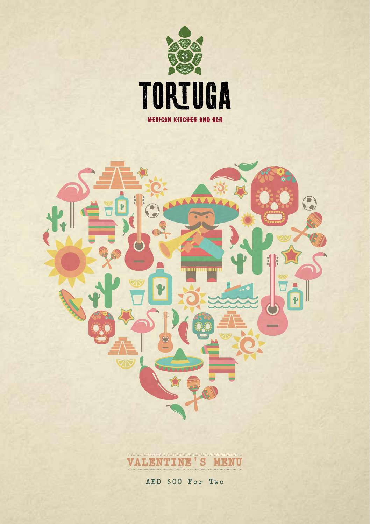





AED 600 For Two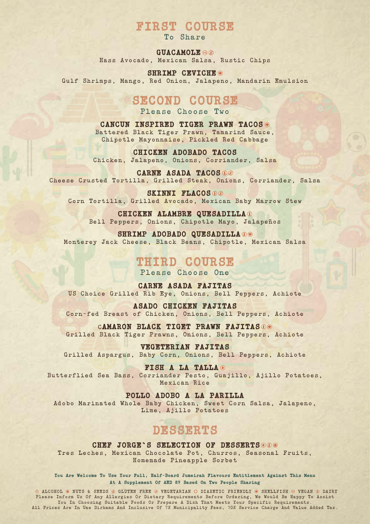## **FIRST COURSE**

To Share

**GUACAMOLE**

Hass Avocado, Mexican Salsa, Rustic Chips

**SHRIMP CEVICHE** Gulf Shrimps, Mango, Red Onion, Jalapeno, Mandarin Emulsion

## **SECOND COURSE**

Please Choose Two

**CANCUN INSPIRED TIGER PRAWN TACOS** Battered Black Tiger Prawn, Tamarind Sauce, Chipotle Mayonnaise, Pickled Red Cabbage

**CHICKEN ADOBADO TACOS** Chicken, Jalapeno, Onions, Corriander, Salsa

**CARNE ASADA TACOS** Cheese Crusted Tortilla, Grilled Steak, Onions, Corriander, Salsa

**SKINNI FLACOS** Corn Tortilla, Grilled Avocado, Mexican Baby Marrow Stew

**CHICKEN ALAMBRE QUESADILLA** Bell Peppers, Onions, Chipotle Mayo, Jalapeños

SHRIMP ADOBADO QUESADILLA<sup>00</sup> Monterey Jack Cheese, Black Beans, Chipotle, Mexican Salsa

### **THIRD COURSE**

Please Choose One

**CARNE ASADA FAJITAS**  US Choice Grilled Rib Eye, Onions, Bell Peppers, Achiote

**ASADO CHICKEN FAJITAS**  Corn-fed Breast of Chicken, Onions, Bell Peppers, Achiote

C**AMARON BLACK TIGET PRAWN FAJITAS** Grilled Black Tiger Prawns, Onions, Bell Peppers, Achiote

**VEGETERIAN FAJITAS** Grilled Aspargus, Baby Corn, Onions, Bell Peppers, Achiote

**FISH A LA TALLA** Butterflied Sea Bass, Corriander Pesto, Guajillo, Ajillo Potatoes, Mexican Rice

**POLLO ADOBO A LA PARILLA** Adobo Marinated Whole Baby Chicken, Sweet Corn Salsa, Jalapeno, Lime, Ajillo Potatoes

## **DESSERTS**

**CHEF JORGE`S SELECTION OF DESSERTS** Tres Leches, Mexican Chocolate Pot, Churros, Seasonal Fruits, Homemade Pineapple Sorbet

**You Are Welcome To Use Your Full, Half-Board Jumeirah Flavours Entitlement Against This Menu At A Supplement Of AED 89 Based On Two People Sharing**

 $\mathbb D$  ALCOHOL  $\circledast$  NUTS & SEEDS  $\circledast$  GLUTEN FREE  $\circledast$  VEGETARIAN  $\circledast$  DAIRY  $\circledast$  SHELLFISH  $\circledast$  VEGAN  $\circledast$  DAIRY Please Inform Us Of Any Allergies Or Dietary Requirements Before Ordering, We Would Be Happy To Assist<br>Iou In Choosing Suitable Foods Or Prepare A Dish That Meets Your Specific Requirements.<br>All Prices Are In Uae Dirhams A